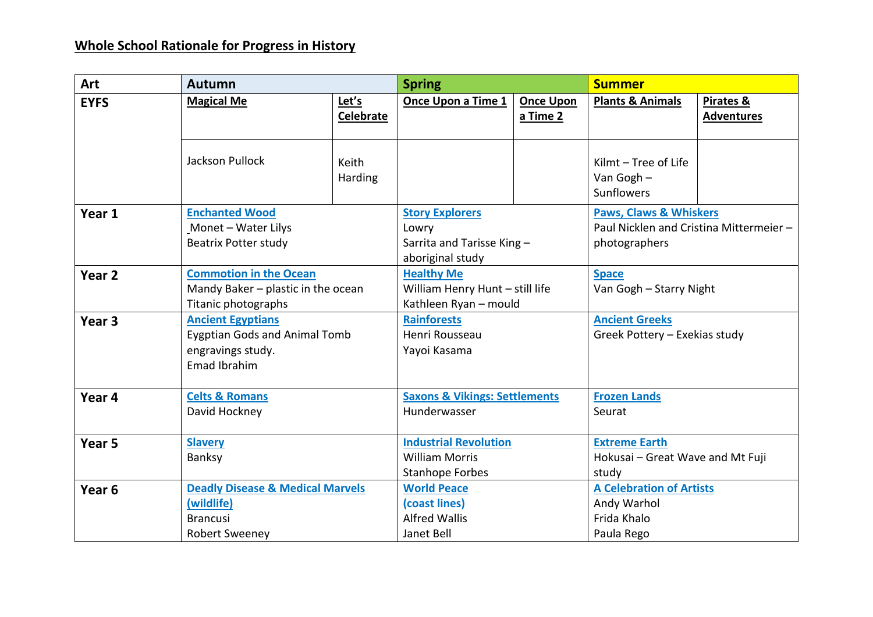## **Whole School Rationale for Progress in History**

| Art               | <b>Autumn</b>                                                                                         |                                      | <b>Spring</b>                                                             |                                                                                  | <b>Summer</b>                                                               |                                                                                               |  |
|-------------------|-------------------------------------------------------------------------------------------------------|--------------------------------------|---------------------------------------------------------------------------|----------------------------------------------------------------------------------|-----------------------------------------------------------------------------|-----------------------------------------------------------------------------------------------|--|
| <b>EYFS</b>       | <b>Magical Me</b>                                                                                     | Let's<br><b>Celebrate</b>            | Once Upon a Time 1                                                        | <b>Once Upon</b><br>a Time 2                                                     | <b>Plants &amp; Animals</b>                                                 | Pirates &<br><b>Adventures</b>                                                                |  |
|                   | <b>Jackson Pullock</b>                                                                                | Keith<br><b>Harding</b>              |                                                                           |                                                                                  | Kilmt - Tree of Life<br>Van Gogh $-$<br>Sunflowers                          |                                                                                               |  |
| Year 1            | <b>Enchanted Wood</b><br>Monet - Water Lilys<br><b>Beatrix Potter study</b>                           |                                      |                                                                           | <b>Story Explorers</b><br>Lowry<br>Sarrita and Tarisse King-<br>aboriginal study |                                                                             | <b>Paws, Claws &amp; Whiskers</b><br>Paul Nicklen and Cristina Mittermeier -<br>photographers |  |
| Year <sub>2</sub> | <b>Commotion in the Ocean</b><br>Titanic photographs                                                  | Mandy Baker - plastic in the ocean   |                                                                           | <b>Healthy Me</b><br>William Henry Hunt - still life<br>Kathleen Ryan - mould    |                                                                             | <b>Space</b><br>Van Gogh - Starry Night                                                       |  |
| Year <sub>3</sub> | <b>Ancient Egyptians</b><br>engravings study.<br>Emad Ibrahim                                         | <b>Eygptian Gods and Animal Tomb</b> |                                                                           | <b>Rainforests</b><br>Henri Rousseau<br>Yayoi Kasama                             |                                                                             | <b>Ancient Greeks</b><br>Greek Pottery - Exekias study                                        |  |
| Year 4            | <b>Celts &amp; Romans</b><br>David Hockney                                                            |                                      |                                                                           | <b>Saxons &amp; Vikings: Settlements</b><br>Hunderwasser                         |                                                                             | <b>Frozen Lands</b><br>Seurat                                                                 |  |
| Year <sub>5</sub> | <b>Slavery</b><br>Banksy                                                                              |                                      |                                                                           | <b>Industrial Revolution</b><br><b>William Morris</b><br><b>Stanhope Forbes</b>  |                                                                             | <b>Extreme Earth</b><br>Hokusai - Great Wave and Mt Fuji<br>study                             |  |
| Year <sub>6</sub> | <b>Deadly Disease &amp; Medical Marvels</b><br>(wildlife)<br><b>Brancusi</b><br><b>Robert Sweeney</b> |                                      | <b>World Peace</b><br>(coast lines)<br><b>Alfred Wallis</b><br>Janet Bell |                                                                                  | <b>A Celebration of Artists</b><br>Andy Warhol<br>Frida Khalo<br>Paula Rego |                                                                                               |  |